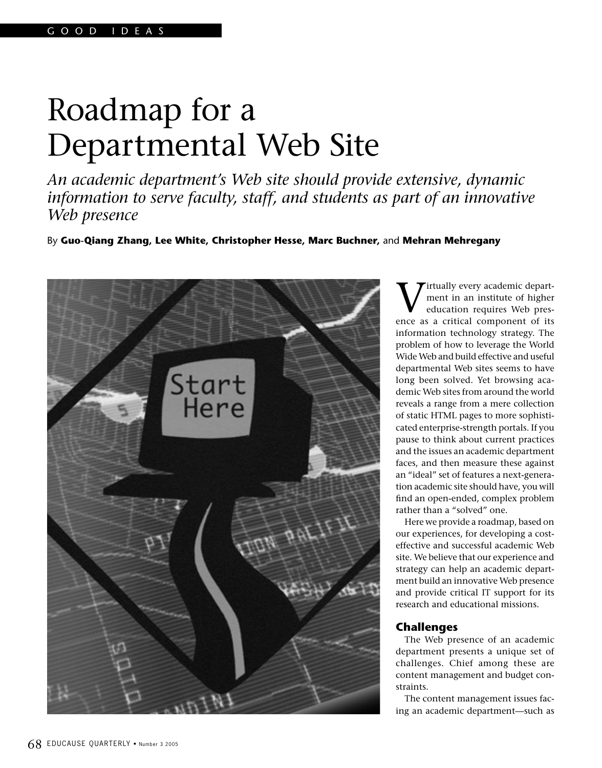# Roadmap for a Departmental Web Site

*An academic department's Web site should provide extensive, dynamic information to serve faculty, staff, and students as part of an innovative Web presence*

By **Guo-Qiang Zhang, Lee White, Christopher Hesse, Marc Buchner,** and **Mehran Mehregany**



irtually every academic department in an institute of higher education requires Web presence as a critical component of its information technology strategy. The problem of how to leverage the World Wide Web and build effective and useful departmental Web sites seems to have long been solved. Yet browsing academic Web sites from around the world reveals a range from a mere collection of static HTML pages to more sophisticated enterprise-strength portals. If you pause to think about current practices and the issues an academic department faces, and then measure these against an "ideal" set of features a next-generation academic site should have, you will find an open-ended, complex problem rather than a "solved" one.

Here we provide a roadmap, based on our experiences, for developing a costeffective and successful academic Web site. We believe that our experience and strategy can help an academic department build an innovative Web presence and provide critical IT support for its research and educational missions.

# **Challenges**

The Web presence of an academic department presents a unique set of challenges. Chief among these are content management and budget constraints.

The content management issues facing an academic department—such as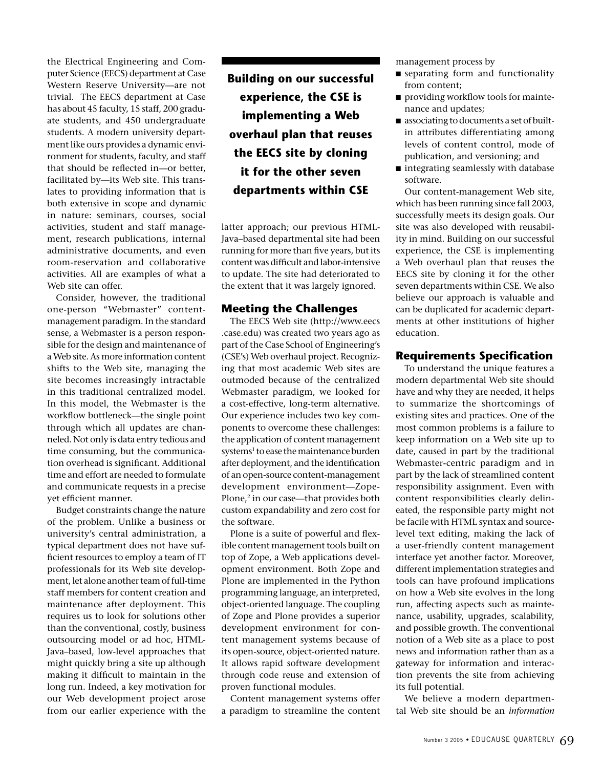the Electrical Engineering and Computer Science (EECS) department at Case Western Reserve University—are not trivial. The EECS department at Case has about 45 faculty, 15 staff, 200 graduate students, and 450 undergraduate students. A modern university department like ours provides a dynamic environment for students, faculty, and staff that should be reflected in—or better, facilitated by—its Web site. This translates to providing information that is both extensive in scope and dynamic in nature: seminars, courses, social activities, student and staff management, research publications, internal administrative documents, and even room-reservation and collaborative activities. All are examples of what a Web site can offer.

Consider, however, the traditional one-person "Webmaster" contentmanagement paradigm. In the standard sense, a Webmaster is a person responsible for the design and maintenance of a Web site. As more information content shifts to the Web site, managing the site becomes increasingly intractable in this traditional centralized model. In this model, the Webmaster is the workflow bottleneck—the single point through which all updates are channeled. Not only is data entry tedious and time consuming, but the communication overhead is significant. Additional time and effort are needed to formulate and communicate requests in a precise yet efficient manner.

Budget constraints change the nature of the problem. Unlike a business or university's central administration, a typical department does not have sufficient resources to employ a team of IT professionals for its Web site development, let alone another team of full-time staff members for content creation and maintenance after deployment. This requires us to look for solutions other than the conventional, costly, business outsourcing model or ad hoc, HTML-Java–based, low-level approaches that might quickly bring a site up although making it difficult to maintain in the long run. Indeed, a key motivation for our Web development project arose from our earlier experience with the **Building on our successful experience, the CSE is implementing a Web overhaul plan that reuses the EECS site by cloning it for the other seven departments within CSE**

latter approach; our previous HTML-Java–based departmental site had been running for more than five years, but its content was difficult and labor-intensive to update. The site had deteriorated to the extent that it was largely ignored.

# **Meeting the Challenges**

The EECS Web site (http://www.eecs .case.edu) was created two years ago as part of the Case School of Engineering's (CSE's) Web overhaul project. Recognizing that most academic Web sites are outmoded because of the centralized Webmaster paradigm, we looked for a cost-effective, long-term alternative. Our experience includes two key components to overcome these challenges: the application of content management systems<sup>1</sup> to ease the maintenance burden after deployment, and the identification of an open-source content-management development environment—Zope-Plone,<sup>2</sup> in our case—that provides both custom expandability and zero cost for the software.

Plone is a suite of powerful and flexible content management tools built on top of Zope, a Web applications development environment. Both Zope and Plone are implemented in the Python programming language, an interpreted, object-oriented language. The coupling of Zope and Plone provides a superior development environment for content management systems because of its open-source, object-oriented nature. It allows rapid software development through code reuse and extension of proven functional modules.

Content management systems offer a paradigm to streamline the content

management process by

- separating form and functionality from content;
- providing workflow tools for maintenance and updates;
- associating to documents a set of builtin attributes differentiating among levels of content control, mode of publication, and versioning; and
- integrating seamlessly with database software.

Our content-management Web site, which has been running since fall 2003, successfully meets its design goals. Our site was also developed with reusability in mind. Building on our successful experience, the CSE is implementing a Web overhaul plan that reuses the EECS site by cloning it for the other seven departments within CSE. We also believe our approach is valuable and can be duplicated for academic departments at other institutions of higher education.

### **Requirements Specification**

To understand the unique features a modern departmental Web site should have and why they are needed, it helps to summarize the shortcomings of existing sites and practices. One of the most common problems is a failure to keep information on a Web site up to date, caused in part by the traditional Webmaster-centric paradigm and in part by the lack of streamlined content responsibility assignment. Even with content responsibilities clearly delineated, the responsible party might not be facile with HTML syntax and sourcelevel text editing, making the lack of a user-friendly content management interface yet another factor. Moreover, different implementation strategies and tools can have profound implications on how a Web site evolves in the long run, affecting aspects such as maintenance, usability, upgrades, scalability, and possible growth. The conventional notion of a Web site as a place to post news and information rather than as a gateway for information and interaction prevents the site from achieving its full potential.

We believe a modern departmental Web site should be an *information*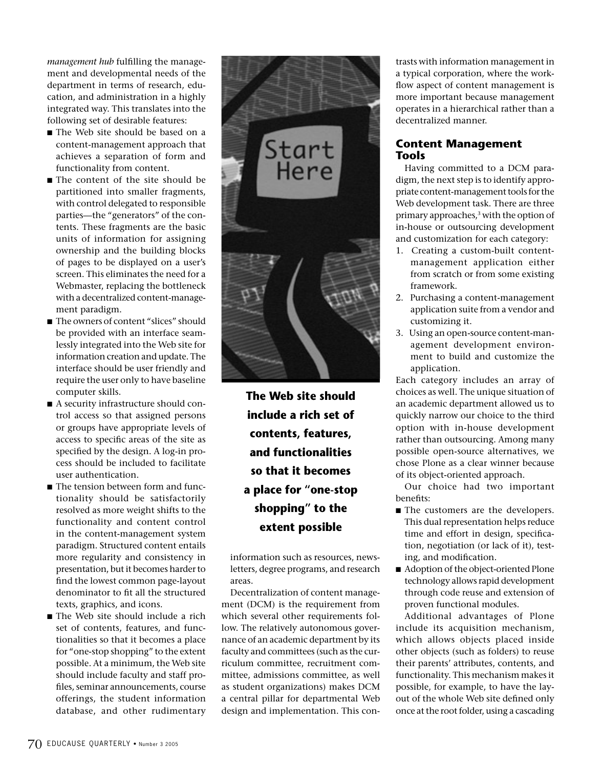*management hub* fulfilling the management and developmental needs of the department in terms of research, education, and administration in a highly integrated way. This translates into the following set of desirable features:

- The Web site should be based on a content-management approach that achieves a separation of form and functionality from content.
- The content of the site should be partitioned into smaller fragments, with control delegated to responsible parties—the "generators" of the contents. These fragments are the basic units of information for assigning ownership and the building blocks of pages to be displayed on a user's screen. This eliminates the need for a Webmaster, replacing the bottleneck with a decentralized content-management paradigm.
- The owners of content "slices" should be provided with an interface seamlessly integrated into the Web site for information creation and update. The interface should be user friendly and require the user only to have baseline computer skills.
- A security infrastructure should control access so that assigned persons or groups have appropriate levels of access to specific areas of the site as specified by the design. A log-in process should be included to facilitate user authentication.
- The tension between form and functionality should be satisfactorily resolved as more weight shifts to the functionality and content control in the content-management system paradigm. Structured content entails more regularity and consistency in presentation, but it becomes harder to find the lowest common page-layout denominator to fit all the structured texts, graphics, and icons.
- The Web site should include a rich set of contents, features, and functionalities so that it becomes a place for "one-stop shopping" to the extent possible. At a minimum, the Web site should include faculty and staff profiles, seminar announcements, course offerings, the student information database, and other rudimentary



**The Web site should include a rich set of contents, features, and functionalities so that it becomes a place for "one-stop shopping" to the extent possible**

information such as resources, newsletters, degree programs, and research areas.

Decentralization of content management (DCM) is the requirement from which several other requirements follow. The relatively autonomous governance of an academic department by its faculty and committees (such as the curriculum committee, recruitment committee, admissions committee, as well as student organizations) makes DCM a central pillar for departmental Web design and implementation. This contrasts with information management in a typical corporation, where the workflow aspect of content management is more important because management operates in a hierarchical rather than a decentralized manner.

# **Content Management Tools**

Having committed to a DCM paradigm, the next step is to identify appropriate content-management tools for the Web development task. There are three primary approaches,<sup>3</sup> with the option of in-house or outsourcing development and customization for each category:

- 1. Creating a custom-built contentmanagement application either from scratch or from some existing framework.
- 2. Purchasing a content-management application suite from a vendor and customizing it.
- 3. Using an open-source content-management development environment to build and customize the application.

Each category includes an array of choices as well. The unique situation of an academic department allowed us to quickly narrow our choice to the third option with in-house development rather than outsourcing. Among many possible open-source alternatives, we chose Plone as a clear winner because of its object-oriented approach.

Our choice had two important benefits:

- The customers are the developers. This dual representation helps reduce time and effort in design, specification, negotiation (or lack of it), testing, and modification.
- Adoption of the object-oriented Plone technology allows rapid development through code reuse and extension of proven functional modules.

Additional advantages of Plone include its acquisition mechanism, which allows objects placed inside other objects (such as folders) to reuse their parents' attributes, contents, and functionality. This mechanism makes it possible, for example, to have the layout of the whole Web site defined only once at the root folder, using a cascading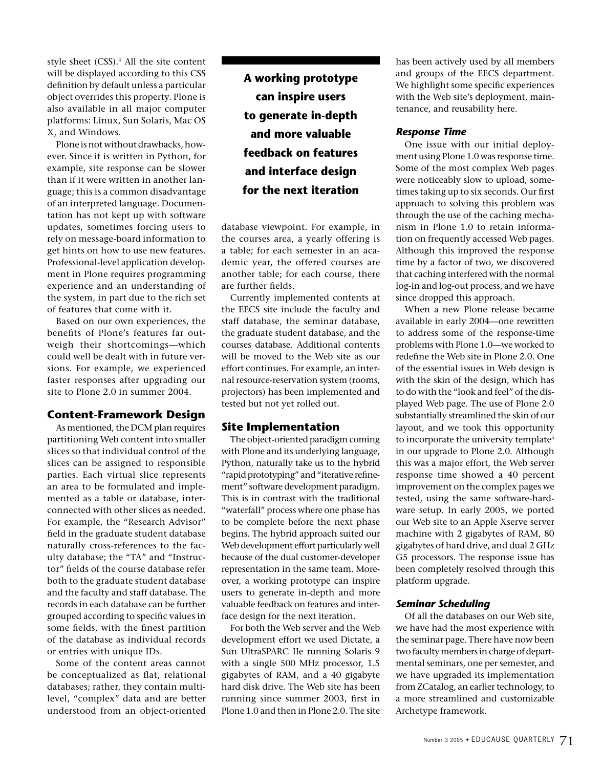style sheet (CSS).<sup>4</sup> All the site content will be displayed according to this CSS definition by default unless a particular object overrides this property. Plone is also available in all major computer platforms: Linux, Sun Solaris, Mac OS X, and Windows.

Plone is not without drawbacks, however. Since it is written in Python, for example, site response can be slower than if it were written in another language; this is a common disadvantage of an interpreted language. Documentation has not kept up with software updates, sometimes forcing users to rely on message-board information to get hints on how to use new features. Professional-level application development in Plone requires programming experience and an understanding of the system, in part due to the rich set of features that come with it.

Based on our own experiences, the benefits of Plone's features far outweigh their shortcomings—which could well be dealt with in future versions. For example, we experienced faster responses after upgrading our site to Plone 2.0 in summer 2004.

## **Content-Framework Design**

As mentioned, the DCM plan requires partitioning Web content into smaller slices so that individual control of the slices can be assigned to responsible parties. Each virtual slice represents an area to be formulated and implemented as a table or database, interconnected with other slices as needed. For example, the "Research Advisor" field in the graduate student database naturally cross-references to the faculty database; the "TA" and "Instructor" fields of the course database refer both to the graduate student database and the faculty and staff database. The records in each database can be further grouped according to specific values in some fields, with the finest partition of the database as individual records or entries with unique IDs.

Some of the content areas cannot be conceptualized as flat, relational databases; rather, they contain multilevel, "complex" data and are better understood from an object-oriented

**A working prototype can inspire users to generate in-depth and more valuable feedback on features and interface design for the next iteration**

database viewpoint. For example, in the courses area, a yearly offering is a table; for each semester in an academic year, the offered courses are another table; for each course, there are further fields.

Currently implemented contents at the EECS site include the faculty and staff database, the seminar database, the graduate student database, and the courses database. Additional contents will be moved to the Web site as our effort continues. For example, an internal resource-reservation system (rooms, projectors) has been implemented and tested but not yet rolled out.

### **Site Implementation**

The object-oriented paradigm coming with Plone and its underlying language, Python, naturally take us to the hybrid "rapid prototyping" and "iterative refinement" software development paradigm. This is in contrast with the traditional "waterfall" process where one phase has to be complete before the next phase begins. The hybrid approach suited our Web development effort particularly well because of the dual customer-developer representation in the same team. Moreover, a working prototype can inspire users to generate in-depth and more valuable feedback on features and interface design for the next iteration.

For both the Web server and the Web development effort we used Dictate, a Sun UltraSPARC IIe running Solaris 9 with a single 500 MHz processor, 1.5 gigabytes of RAM, and a 40 gigabyte hard disk drive. The Web site has been running since summer 2003, first in Plone 1.0 and then in Plone 2.0. The site has been actively used by all members and groups of the EECS department. We highlight some specific experiences with the Web site's deployment, maintenance, and reusability here.

#### *Response Time*

One issue with our initial deployment using Plone 1.0 was response time. Some of the most complex Web pages were noticeably slow to upload, sometimes taking up to six seconds. Our first approach to solving this problem was through the use of the caching mechanism in Plone 1.0 to retain information on frequently accessed Web pages. Although this improved the response time by a factor of two, we discovered that caching interfered with the normal log-in and log-out process, and we have since dropped this approach.

When a new Plone release became available in early 2004—one rewritten to address some of the response-time problems with Plone 1.0—we worked to redefine the Web site in Plone 2.0. One of the essential issues in Web design is with the skin of the design, which has to do with the "look and feel" of the displayed Web page. The use of Plone 2.0 substantially streamlined the skin of our layout, and we took this opportunity to incorporate the university template<sup>5</sup> in our upgrade to Plone 2.0. Although this was a major effort, the Web server response time showed a 40 percent improvement on the complex pages we tested, using the same software-hardware setup. In early 2005, we ported our Web site to an Apple Xserve server machine with 2 gigabytes of RAM, 80 gigabytes of hard drive, and dual 2 GHz G5 processors. The response issue has been completely resolved through this platform upgrade.

### *Seminar Scheduling*

Of all the databases on our Web site, we have had the most experience with the seminar page. There have now been two faculty members in charge of departmental seminars, one per semester, and we have upgraded its implementation from ZCatalog, an earlier technology, to a more streamlined and customizable Archetype framework.